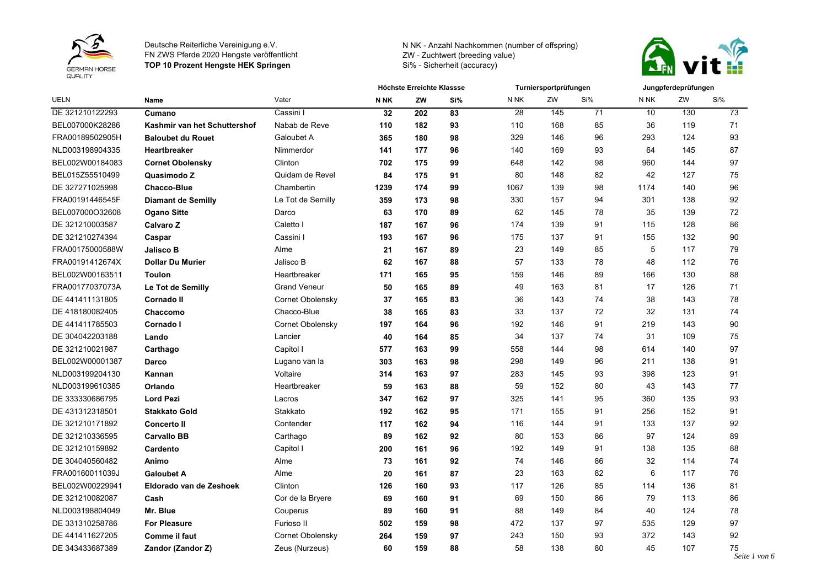



| <b>UELN</b>     | <b>Name</b>                  |                     | Höchste Erreichte Klassse |     |     |                 | Turniersportprüfungen |     | Jungpferdeprüfungen |     |                      |
|-----------------|------------------------------|---------------------|---------------------------|-----|-----|-----------------|-----------------------|-----|---------------------|-----|----------------------|
|                 |                              | Vater               | N <sub>NK</sub>           | ZW  | Si% | N NK            | ZW                    | Si% | N <sub>NK</sub>     | ZW  | Si%                  |
| DE 321210122293 | Cumano                       | Cassini I           | 32                        | 202 | 83  | $\overline{28}$ | 145                   | 71  | 10                  | 130 | 73                   |
| BEL007000K28286 | Kashmir van het Schuttershof | Nabab de Reve       | 110                       | 182 | 93  | 110             | 168                   | 85  | 36                  | 119 | 71                   |
| FRA00189502905H | <b>Baloubet du Rouet</b>     | Galoubet A          | 365                       | 180 | 98  | 329             | 146                   | 96  | 293                 | 124 | 93                   |
| NLD003198904335 | <b>Heartbreaker</b>          | Nimmerdor           | 141                       | 177 | 96  | 140             | 169                   | 93  | 64                  | 145 | 87                   |
| BEL002W00184083 | <b>Cornet Obolensky</b>      | Clinton             | 702                       | 175 | 99  | 648             | 142                   | 98  | 960                 | 144 | 97                   |
| BEL015Z55510499 | Quasimodo Z                  | Quidam de Revel     | 84                        | 175 | 91  | 80              | 148                   | 82  | 42                  | 127 | 75                   |
| DE 327271025998 | <b>Chacco-Blue</b>           | Chambertin          | 1239                      | 174 | 99  | 1067            | 139                   | 98  | 1174                | 140 | 96                   |
| FRA00191446545F | <b>Diamant de Semilly</b>    | Le Tot de Semilly   | 359                       | 173 | 98  | 330             | 157                   | 94  | 301                 | 138 | 92                   |
| BEL007000O32608 | <b>Ogano Sitte</b>           | Darco               | 63                        | 170 | 89  | 62              | 145                   | 78  | 35                  | 139 | 72                   |
| DE 321210003587 | Calvaro Z                    | Caletto I           | 187                       | 167 | 96  | 174             | 139                   | 91  | 115                 | 128 | 86                   |
| DE 321210274394 | Caspar                       | Cassini I           | 193                       | 167 | 96  | 175             | 137                   | 91  | 155                 | 132 | 90                   |
| FRA00175000588W | <b>Jalisco B</b>             | Alme                | 21                        | 167 | 89  | 23              | 149                   | 85  | 5                   | 117 | 79                   |
| FRA00191412674X | <b>Dollar Du Murier</b>      | Jalisco B           | 62                        | 167 | 88  | 57              | 133                   | 78  | 48                  | 112 | 76                   |
| BEL002W00163511 | <b>Toulon</b>                | Heartbreaker        | 171                       | 165 | 95  | 159             | 146                   | 89  | 166                 | 130 | 88                   |
| FRA00177037073A | Le Tot de Semilly            | <b>Grand Veneur</b> | 50                        | 165 | 89  | 49              | 163                   | 81  | 17                  | 126 | 71                   |
| DE 441411131805 | Cornado II                   | Cornet Obolensky    | 37                        | 165 | 83  | 36              | 143                   | 74  | 38                  | 143 | 78                   |
| DE 418180082405 | Chaccomo                     | Chacco-Blue         | 38                        | 165 | 83  | 33              | 137                   | 72  | 32                  | 131 | 74                   |
| DE 441411785503 | Cornado I                    | Cornet Obolensky    | 197                       | 164 | 96  | 192             | 146                   | 91  | 219                 | 143 | 90                   |
| DE 304042203188 | Lando                        | Lancier             | 40                        | 164 | 85  | 34              | 137                   | 74  | 31                  | 109 | 75                   |
| DE 321210021987 | Carthago                     | Capitol I           | 577                       | 163 | 99  | 558             | 144                   | 98  | 614                 | 140 | 97                   |
| BEL002W00001387 | Darco                        | Lugano van la       | 303                       | 163 | 98  | 298             | 149                   | 96  | 211                 | 138 | 91                   |
| NLD003199204130 | Kannan                       | Voltaire            | 314                       | 163 | 97  | 283             | 145                   | 93  | 398                 | 123 | 91                   |
| NLD003199610385 | Orlando                      | Heartbreaker        | 59                        | 163 | 88  | 59              | 152                   | 80  | 43                  | 143 | 77                   |
| DE 333330686795 | <b>Lord Pezi</b>             | Lacros              | 347                       | 162 | 97  | 325             | 141                   | 95  | 360                 | 135 | 93                   |
| DE 431312318501 | <b>Stakkato Gold</b>         | Stakkato            | 192                       | 162 | 95  | 171             | 155                   | 91  | 256                 | 152 | 91                   |
| DE 321210171892 | <b>Concerto II</b>           | Contender           | 117                       | 162 | 94  | 116             | 144                   | 91  | 133                 | 137 | 92                   |
| DE 321210336595 | <b>Carvallo BB</b>           | Carthago            | 89                        | 162 | 92  | 80              | 153                   | 86  | 97                  | 124 | 89                   |
| DE 321210159892 | Cardento                     | Capitol I           | 200                       | 161 | 96  | 192             | 149                   | 91  | 138                 | 135 | 88                   |
| DE 304040560482 | Animo                        | Alme                | 73                        | 161 | 92  | 74              | 146                   | 86  | 32                  | 114 | 74                   |
| FRA00160011039J | <b>Galoubet A</b>            | Alme                | 20                        | 161 | 87  | 23              | 163                   | 82  | 6                   | 117 | 76                   |
| BEL002W00229941 | Eldorado van de Zeshoek      | Clinton             | 126                       | 160 | 93  | 117             | 126                   | 85  | 114                 | 136 | 81                   |
| DE 321210082087 | Cash                         | Cor de la Bryere    | 69                        | 160 | 91  | 69              | 150                   | 86  | 79                  | 113 | 86                   |
| NLD003198804049 | Mr. Blue                     | Couperus            | 89                        | 160 | 91  | 88              | 149                   | 84  | 40                  | 124 | 78                   |
| DE 331310258786 | <b>For Pleasure</b>          | Furioso II          | 502                       | 159 | 98  | 472             | 137                   | 97  | 535                 | 129 | 97                   |
| DE 441411627205 | <b>Comme il faut</b>         | Cornet Obolensky    | 264                       | 159 | 97  | 243             | 150                   | 93  | 372                 | 143 | 92                   |
| DE 343433687389 | Zandor (Zandor Z)            | Zeus (Nurzeus)      | 60                        | 159 | 88  | 58              | 138                   | 80  | 45                  | 107 | 75<br>$C_{\alpha}$ : |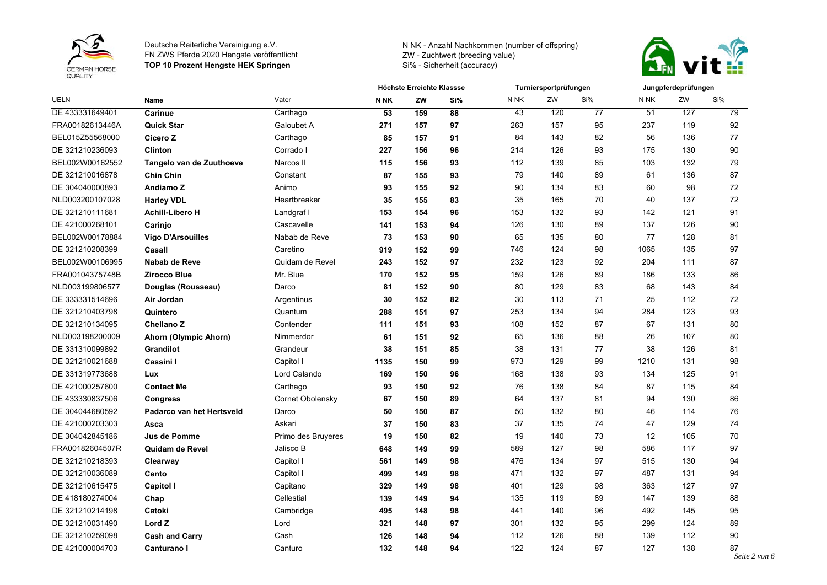



| <b>UELN</b>     | Name                      | Vater              | Höchste Erreichte Klassse |     |     | Turniersportprüfungen |     |     | Jungpferdeprüfungen |     |     |
|-----------------|---------------------------|--------------------|---------------------------|-----|-----|-----------------------|-----|-----|---------------------|-----|-----|
|                 |                           |                    | N NK                      | ZW  | Si% | N <sub>NK</sub>       | ZW  | Si% | N NK                | ZW  | Si% |
| DE 433331649401 | Carinue                   | Carthago           | 53                        | 159 | 88  | 43                    | 120 | 77  | 51                  | 127 | 79  |
| FRA00182613446A | <b>Quick Star</b>         | Galoubet A         | 271                       | 157 | 97  | 263                   | 157 | 95  | 237                 | 119 | 92  |
| BEL015Z55568000 | Cicero Z                  | Carthago           | 85                        | 157 | 91  | 84                    | 143 | 82  | 56                  | 136 | 77  |
| DE 321210236093 | <b>Clinton</b>            | Corrado I          | 227                       | 156 | 96  | 214                   | 126 | 93  | 175                 | 130 | 90  |
| BEL002W00162552 | Tangelo van de Zuuthoeve  | Narcos II          | 115                       | 156 | 93  | 112                   | 139 | 85  | 103                 | 132 | 79  |
| DE 321210016878 | <b>Chin Chin</b>          | Constant           | 87                        | 155 | 93  | 79                    | 140 | 89  | 61                  | 136 | 87  |
| DE 304040000893 | Andiamo Z                 | Animo              | 93                        | 155 | 92  | 90                    | 134 | 83  | 60                  | 98  | 72  |
| NLD003200107028 | <b>Harley VDL</b>         | Heartbreaker       | 35                        | 155 | 83  | 35                    | 165 | 70  | 40                  | 137 | 72  |
| DE 321210111681 | <b>Achill-Libero H</b>    | Landgraf I         | 153                       | 154 | 96  | 153                   | 132 | 93  | 142                 | 121 | 91  |
| DE 421000268101 | Carinjo                   | Cascavelle         | 141                       | 153 | 94  | 126                   | 130 | 89  | 137                 | 126 | 90  |
| BEL002W00178884 | <b>Vigo D'Arsouilles</b>  | Nabab de Reve      | 73                        | 153 | 90  | 65                    | 135 | 80  | 77                  | 128 | 81  |
| DE 321210208399 | Casall                    | Caretino           | 919                       | 152 | 99  | 746                   | 124 | 98  | 1065                | 135 | 97  |
| BEL002W00106995 | Nabab de Reve             | Quidam de Revel    | 243                       | 152 | 97  | 232                   | 123 | 92  | 204                 | 111 | 87  |
| FRA00104375748B | <b>Zirocco Blue</b>       | Mr. Blue           | 170                       | 152 | 95  | 159                   | 126 | 89  | 186                 | 133 | 86  |
| NLD003199806577 | Douglas (Rousseau)        | Darco              | 81                        | 152 | 90  | 80                    | 129 | 83  | 68                  | 143 | 84  |
| DE 333331514696 | Air Jordan                | Argentinus         | 30                        | 152 | 82  | 30                    | 113 | 71  | 25                  | 112 | 72  |
| DE 321210403798 | Quintero                  | Quantum            | 288                       | 151 | 97  | 253                   | 134 | 94  | 284                 | 123 | 93  |
| DE 321210134095 | Chellano Z                | Contender          | 111                       | 151 | 93  | 108                   | 152 | 87  | 67                  | 131 | 80  |
| NLD003198200009 | Ahorn (Olympic Ahorn)     | Nimmerdor          | 61                        | 151 | 92  | 65                    | 136 | 88  | 26                  | 107 | 80  |
| DE 331310099892 | Grandilot                 | Grandeur           | 38                        | 151 | 85  | 38                    | 131 | 77  | 38                  | 126 | 81  |
| DE 321210021688 | Cassini I                 | Capitol I          | 1135                      | 150 | 99  | 973                   | 129 | 99  | 1210                | 131 | 98  |
| DE 331319773688 | Lux                       | Lord Calando       | 169                       | 150 | 96  | 168                   | 138 | 93  | 134                 | 125 | 91  |
| DE 421000257600 | <b>Contact Me</b>         | Carthago           | 93                        | 150 | 92  | 76                    | 138 | 84  | 87                  | 115 | 84  |
| DE 433330837506 | <b>Congress</b>           | Cornet Obolensky   | 67                        | 150 | 89  | 64                    | 137 | 81  | 94                  | 130 | 86  |
| DE 304044680592 | Padarco van het Hertsveld | Darco              | 50                        | 150 | 87  | 50                    | 132 | 80  | 46                  | 114 | 76  |
| DE 421000203303 | Asca                      | Askari             | 37                        | 150 | 83  | 37                    | 135 | 74  | 47                  | 129 | 74  |
| DE 304042845186 | Jus de Pomme              | Primo des Bruyeres | 19                        | 150 | 82  | 19                    | 140 | 73  | 12                  | 105 | 70  |
| FRA00182604507R | Quidam de Revel           | Jalisco B          | 648                       | 149 | 99  | 589                   | 127 | 98  | 586                 | 117 | 97  |
| DE 321210218393 | Clearway                  | Capitol I          | 561                       | 149 | 98  | 476                   | 134 | 97  | 515                 | 130 | 94  |
| DE 321210036089 | Cento                     | Capitol I          | 499                       | 149 | 98  | 471                   | 132 | 97  | 487                 | 131 | 94  |
| DE 321210615475 | <b>Capitol I</b>          | Capitano           | 329                       | 149 | 98  | 401                   | 129 | 98  | 363                 | 127 | 97  |
| DE 418180274004 | Chap                      | Cellestial         | 139                       | 149 | 94  | 135                   | 119 | 89  | 147                 | 139 | 88  |
| DE 321210214198 | Catoki                    | Cambridge          | 495                       | 148 | 98  | 441                   | 140 | 96  | 492                 | 145 | 95  |
| DE 321210031490 | Lord Z                    | Lord               | 321                       | 148 | 97  | 301                   | 132 | 95  | 299                 | 124 | 89  |
| DE 321210259098 | <b>Cash and Carry</b>     | Cash               | 126                       | 148 | 94  | 112                   | 126 | 88  | 139                 | 112 | 90  |
| DE 421000004703 | Canturano I               | Canturo            | 132                       | 148 | 94  | 122                   | 124 | 87  | 127                 | 138 | 87  |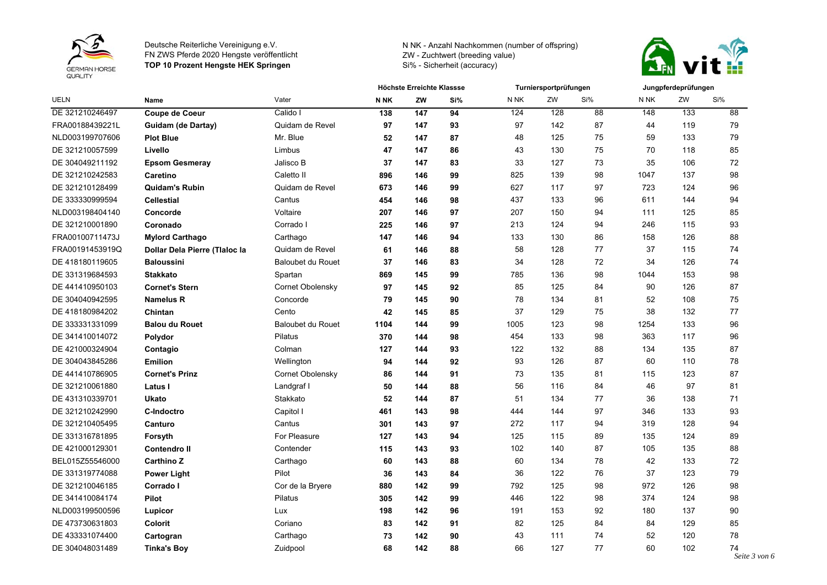



| <b>UELN</b>     | <b>Name</b>                   |                          | Höchste Erreichte Klassse |     |     |      | Turniersportprüfungen |     | Jungpferdeprüfungen |     |     |
|-----------------|-------------------------------|--------------------------|---------------------------|-----|-----|------|-----------------------|-----|---------------------|-----|-----|
|                 |                               | Vater                    | N <sub>NK</sub>           | ZW  | Si% | N NK | ZW                    | Si% | N <sub>NK</sub>     | ZW  | Si% |
| DE 321210246497 | Coupe de Coeur                | Calido I                 | 138                       | 147 | 94  | 124  | 128                   | 88  | 148                 | 133 | 88  |
| FRA00188439221L | Guidam (de Dartay)            | Quidam de Revel          | 97                        | 147 | 93  | 97   | 142                   | 87  | 44                  | 119 | 79  |
| NLD003199707606 | <b>Plot Blue</b>              | Mr. Blue                 | 52                        | 147 | 87  | 48   | 125                   | 75  | 59                  | 133 | 79  |
| DE 321210057599 | Livello                       | Limbus                   | 47                        | 147 | 86  | 43   | 130                   | 75  | 70                  | 118 | 85  |
| DE 304049211192 | <b>Epsom Gesmeray</b>         | Jalisco B                | 37                        | 147 | 83  | 33   | 127                   | 73  | 35                  | 106 | 72  |
| DE 321210242583 | <b>Caretino</b>               | Caletto II               | 896                       | 146 | 99  | 825  | 139                   | 98  | 1047                | 137 | 98  |
| DE 321210128499 | <b>Quidam's Rubin</b>         | Quidam de Revel          | 673                       | 146 | 99  | 627  | 117                   | 97  | 723                 | 124 | 96  |
| DE 333330999594 | <b>Cellestial</b>             | Cantus                   | 454                       | 146 | 98  | 437  | 133                   | 96  | 611                 | 144 | 94  |
| NLD003198404140 | Concorde                      | Voltaire                 | 207                       | 146 | 97  | 207  | 150                   | 94  | 111                 | 125 | 85  |
| DE 321210001890 | Coronado                      | Corrado I                | 225                       | 146 | 97  | 213  | 124                   | 94  | 246                 | 115 | 93  |
| FRA00100711473J | <b>Mylord Carthago</b>        | Carthago                 | 147                       | 146 | 94  | 133  | 130                   | 86  | 158                 | 126 | 88  |
| FRA00191453919Q | Dollar Dela Pierre (Tlaloc la | Quidam de Revel          | 61                        | 146 | 88  | 58   | 128                   | 77  | 37                  | 115 | 74  |
| DE 418180119605 | <b>Baloussini</b>             | <b>Baloubet du Rouet</b> | 37                        | 146 | 83  | 34   | 128                   | 72  | 34                  | 126 | 74  |
| DE 331319684593 | <b>Stakkato</b>               | Spartan                  | 869                       | 145 | 99  | 785  | 136                   | 98  | 1044                | 153 | 98  |
| DE 441410950103 | <b>Cornet's Stern</b>         | Cornet Obolensky         | 97                        | 145 | 92  | 85   | 125                   | 84  | 90                  | 126 | 87  |
| DE 304040942595 | <b>Namelus R</b>              | Concorde                 | 79                        | 145 | 90  | 78   | 134                   | 81  | 52                  | 108 | 75  |
| DE 418180984202 | Chintan                       | Cento                    | 42                        | 145 | 85  | 37   | 129                   | 75  | 38                  | 132 | 77  |
| DE 333331331099 | <b>Balou du Rouet</b>         | <b>Baloubet du Rouet</b> | 1104                      | 144 | 99  | 1005 | 123                   | 98  | 1254                | 133 | 96  |
| DE 341410014072 | Polydor                       | Pilatus                  | 370                       | 144 | 98  | 454  | 133                   | 98  | 363                 | 117 | 96  |
| DE 421000324904 | Contagio                      | Colman                   | 127                       | 144 | 93  | 122  | 132                   | 88  | 134                 | 135 | 87  |
| DE 304043845286 | <b>Emilion</b>                | Wellington               | 94                        | 144 | 92  | 93   | 126                   | 87  | 60                  | 110 | 78  |
| DE 441410786905 | <b>Cornet's Prinz</b>         | Cornet Obolensky         | 86                        | 144 | 91  | 73   | 135                   | 81  | 115                 | 123 | 87  |
| DE 321210061880 | Latus I                       | Landgraf I               | 50                        | 144 | 88  | 56   | 116                   | 84  | 46                  | 97  | 81  |
| DE 431310339701 | <b>Ukato</b>                  | Stakkato                 | 52                        | 144 | 87  | 51   | 134                   | 77  | 36                  | 138 | 71  |
| DE 321210242990 | C-Indoctro                    | Capitol I                | 461                       | 143 | 98  | 444  | 144                   | 97  | 346                 | 133 | 93  |
| DE 321210405495 | Canturo                       | Cantus                   | 301                       | 143 | 97  | 272  | 117                   | 94  | 319                 | 128 | 94  |
| DE 331316781895 | Forsyth                       | For Pleasure             | 127                       | 143 | 94  | 125  | 115                   | 89  | 135                 | 124 | 89  |
| DE 421000129301 | <b>Contendro II</b>           | Contender                | 115                       | 143 | 93  | 102  | 140                   | 87  | 105                 | 135 | 88  |
| BEL015Z55546000 | <b>Carthino Z</b>             | Carthago                 | 60                        | 143 | 88  | 60   | 134                   | 78  | 42                  | 133 | 72  |
| DE 331319774088 | <b>Power Light</b>            | Pilot                    | 36                        | 143 | 84  | 36   | 122                   | 76  | 37                  | 123 | 79  |
| DE 321210046185 | Corrado I                     | Cor de la Bryere         | 880                       | 142 | 99  | 792  | 125                   | 98  | 972                 | 126 | 98  |
| DE 341410084174 | Pilot                         | Pilatus                  | 305                       | 142 | 99  | 446  | 122                   | 98  | 374                 | 124 | 98  |
| NLD003199500596 | Lupicor                       | Lux                      | 198                       | 142 | 96  | 191  | 153                   | 92  | 180                 | 137 | 90  |
| DE 473730631803 | <b>Colorit</b>                | Coriano                  | 83                        | 142 | 91  | 82   | 125                   | 84  | 84                  | 129 | 85  |
| DE 433331074400 | Cartogran                     | Carthago                 | 73                        | 142 | 90  | 43   | 111                   | 74  | 52                  | 120 | 78  |
| DE 304048031489 | <b>Tinka's Boy</b>            | Zuidpool                 | 68                        | 142 | 88  | 66   | 127                   | 77  | 60                  | 102 | 74  |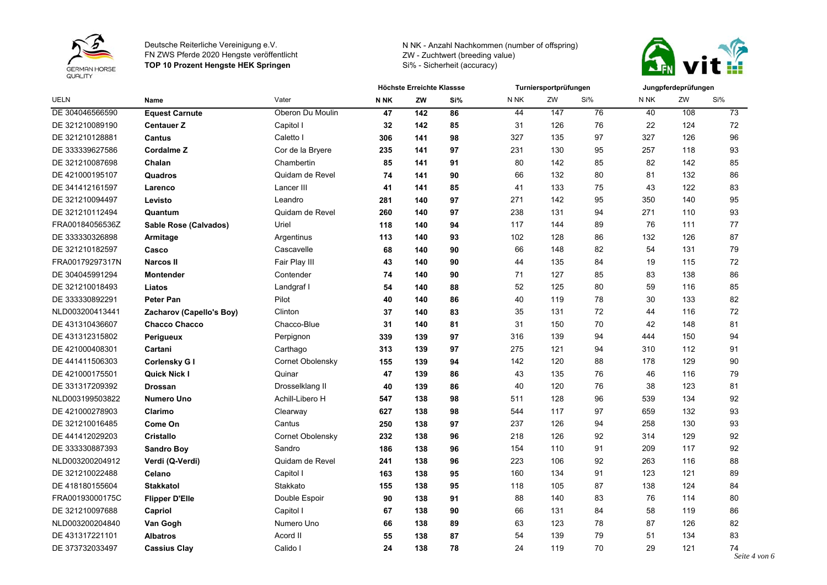



| <b>UELN</b>     | <b>Name</b>              |                  | Höchste Erreichte Klassse |       |     |                 | Turniersportprüfungen |     | Jungpferdeprüfungen |     |                     |
|-----------------|--------------------------|------------------|---------------------------|-------|-----|-----------------|-----------------------|-----|---------------------|-----|---------------------|
|                 |                          | Vater            | <b>N NK</b>               | ZW    | Si% | N <sub>NK</sub> | ZW                    | Si% | N <sub>NK</sub>     | ZW  | Si%                 |
| DE 304046566590 | <b>Equest Carnute</b>    | Oberon Du Moulin | 47                        | $142$ | 86  | 44              | 147                   | 76  | 40                  | 108 | 73                  |
| DE 321210089190 | <b>Centauer Z</b>        | Capitol I        | 32                        | 142   | 85  | 31              | 126                   | 76  | 22                  | 124 | 72                  |
| DE 321210128881 | <b>Cantus</b>            | Caletto I        | 306                       | 141   | 98  | 327             | 135                   | 97  | 327                 | 126 | 96                  |
| DE 333339627586 | <b>Cordalme Z</b>        | Cor de la Bryere | 235                       | 141   | 97  | 231             | 130                   | 95  | 257                 | 118 | 93                  |
| DE 321210087698 | Chalan                   | Chambertin       | 85                        | 141   | 91  | 80              | 142                   | 85  | 82                  | 142 | 85                  |
| DE 421000195107 | Quadros                  | Quidam de Revel  | 74                        | 141   | 90  | 66              | 132                   | 80  | 81                  | 132 | 86                  |
| DE 341412161597 | Larenco                  | Lancer III       | 41                        | 141   | 85  | 41              | 133                   | 75  | 43                  | 122 | 83                  |
| DE 321210094497 | Levisto                  | Leandro          | 281                       | 140   | 97  | 271             | 142                   | 95  | 350                 | 140 | 95                  |
| DE 321210112494 | Quantum                  | Quidam de Revel  | 260                       | 140   | 97  | 238             | 131                   | 94  | 271                 | 110 | 93                  |
| FRA00184056536Z | Sable Rose (Calvados)    | Uriel            | 118                       | 140   | 94  | 117             | 144                   | 89  | 76                  | 111 | 77                  |
| DE 333330326898 | Armitage                 | Argentinus       | 113                       | 140   | 93  | 102             | 128                   | 86  | 132                 | 126 | 87                  |
| DE 321210182597 | Casco                    | Cascavelle       | 68                        | 140   | 90  | 66              | 148                   | 82  | 54                  | 131 | 79                  |
| FRA00179297317N | <b>Narcos II</b>         | Fair Play III    | 43                        | 140   | 90  | 44              | 135                   | 84  | 19                  | 115 | 72                  |
| DE 304045991294 | <b>Montender</b>         | Contender        | 74                        | 140   | 90  | 71              | 127                   | 85  | 83                  | 138 | 86                  |
| DE 321210018493 | Liatos                   | Landgraf I       | 54                        | 140   | 88  | 52              | 125                   | 80  | 59                  | 116 | 85                  |
| DE 333330892291 | <b>Peter Pan</b>         | Pilot            | 40                        | 140   | 86  | 40              | 119                   | 78  | 30                  | 133 | 82                  |
| NLD003200413441 | Zacharov (Capello's Boy) | Clinton          | 37                        | 140   | 83  | 35              | 131                   | 72  | 44                  | 116 | 72                  |
| DE 431310436607 | <b>Chacco Chacco</b>     | Chacco-Blue      | 31                        | 140   | 81  | 31              | 150                   | 70  | 42                  | 148 | 81                  |
| DE 431312315802 | Perigueux                | Perpignon        | 339                       | 139   | 97  | 316             | 139                   | 94  | 444                 | 150 | 94                  |
| DE 421000408301 | Cartani                  | Carthago         | 313                       | 139   | 97  | 275             | 121                   | 94  | 310                 | 112 | 91                  |
| DE 441411506303 | Corlensky G I            | Cornet Obolensky | 155                       | 139   | 94  | 142             | 120                   | 88  | 178                 | 129 | $90\,$              |
| DE 421000175501 | <b>Quick Nick I</b>      | Quinar           | 47                        | 139   | 86  | 43              | 135                   | 76  | 46                  | 116 | 79                  |
| DE 331317209392 | <b>Drossan</b>           | Drosselklang II  | 40                        | 139   | 86  | 40              | 120                   | 76  | 38                  | 123 | 81                  |
| NLD003199503822 | <b>Numero Uno</b>        | Achill-Libero H  | 547                       | 138   | 98  | 511             | 128                   | 96  | 539                 | 134 | 92                  |
| DE 421000278903 | Clarimo                  | Clearway         | 627                       | 138   | 98  | 544             | 117                   | 97  | 659                 | 132 | 93                  |
| DE 321210016485 | Come On                  | Cantus           | 250                       | 138   | 97  | 237             | 126                   | 94  | 258                 | 130 | 93                  |
| DE 441412029203 | <b>Cristallo</b>         | Cornet Obolensky | 232                       | 138   | 96  | 218             | 126                   | 92  | 314                 | 129 | 92                  |
| DE 333330887393 | <b>Sandro Boy</b>        | Sandro           | 186                       | 138   | 96  | 154             | 110                   | 91  | 209                 | 117 | 92                  |
| NLD003200204912 | Verdi (Q-Verdi)          | Quidam de Revel  | 241                       | 138   | 96  | 223             | 106                   | 92  | 263                 | 116 | 88                  |
| DE 321210022488 | Celano                   | Capitol I        | 163                       | 138   | 95  | 160             | 134                   | 91  | 123                 | 121 | 89                  |
| DE 418180155604 | <b>Stakkatol</b>         | Stakkato         | 155                       | 138   | 95  | 118             | 105                   | 87  | 138                 | 124 | 84                  |
| FRA00193000175C | <b>Flipper D'Elle</b>    | Double Espoir    | 90                        | 138   | 91  | 88              | 140                   | 83  | 76                  | 114 | 80                  |
| DE 321210097688 | Capriol                  | Capitol I        | 67                        | 138   | 90  | 66              | 131                   | 84  | 58                  | 119 | 86                  |
| NLD003200204840 | Van Gogh                 | Numero Uno       | 66                        | 138   | 89  | 63              | 123                   | 78  | 87                  | 126 | 82                  |
| DE 431317221101 | <b>Albatros</b>          | Acord II         | 55                        | 138   | 87  | 54              | 139                   | 79  | 51                  | 134 | 83                  |
| DE 373732033497 | <b>Cassius Clay</b>      | Calido I         | 24                        | 138   | 78  | 24              | 119                   | 70  | 29                  | 121 | 74<br>Seite 4 von 6 |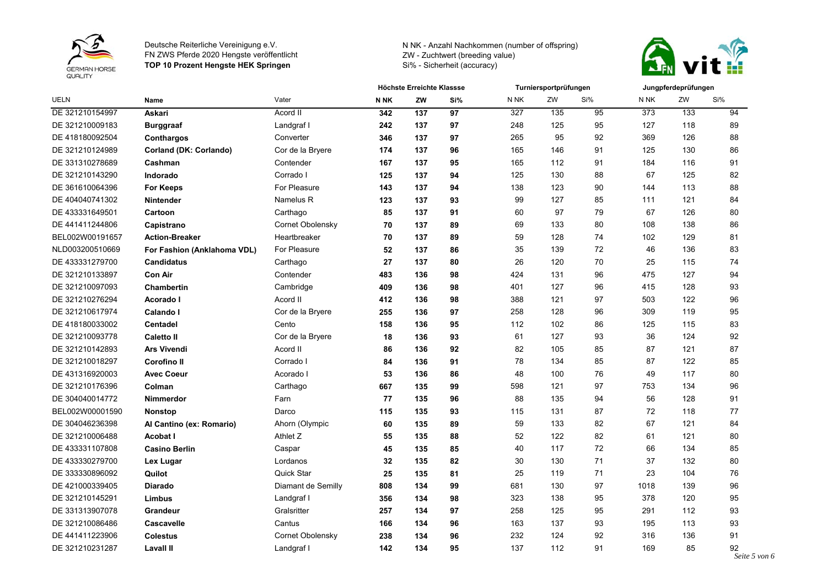



| <b>UELN</b>     | <b>Name</b>                 |                    | Höchste Erreichte Klassse |     |     |        | Turniersportprüfungen |     | Jungpferdeprüfungen |     |                    |
|-----------------|-----------------------------|--------------------|---------------------------|-----|-----|--------|-----------------------|-----|---------------------|-----|--------------------|
|                 |                             | Vater              | N <sub>NK</sub>           | ZW  | Si% | N NK   | ZW                    | Si% | N NK                | ZW  | Si%                |
| DE 321210154997 | Askari                      | Acord II           | 342                       | 137 | 97  | 327    | 135                   | 95  | 373                 | 133 | 94                 |
| DE 321210009183 | <b>Burggraaf</b>            | Landgraf I         | 242                       | 137 | 97  | 248    | 125                   | 95  | 127                 | 118 | 89                 |
| DE 418180092504 | Conthargos                  | Converter          | 346                       | 137 | 97  | 265    | 95                    | 92  | 369                 | 126 | 88                 |
| DE 321210124989 | Corland (DK: Corlando)      | Cor de la Bryere   | 174                       | 137 | 96  | 165    | 146                   | 91  | 125                 | 130 | 86                 |
| DE 331310278689 | Cashman                     | Contender          | 167                       | 137 | 95  | 165    | 112                   | 91  | 184                 | 116 | 91                 |
| DE 321210143290 | Indorado                    | Corrado I          | 125                       | 137 | 94  | 125    | 130                   | 88  | 67                  | 125 | 82                 |
| DE 361610064396 | <b>For Keeps</b>            | For Pleasure       | 143                       | 137 | 94  | 138    | 123                   | 90  | 144                 | 113 | 88                 |
| DE 404040741302 | <b>Nintender</b>            | Namelus R          | 123                       | 137 | 93  | 99     | 127                   | 85  | 111                 | 121 | 84                 |
| DE 433331649501 | Cartoon                     | Carthago           | 85                        | 137 | 91  | 60     | 97                    | 79  | 67                  | 126 | 80                 |
| DE 441411244806 | Capistrano                  | Cornet Obolensky   | 70                        | 137 | 89  | 69     | 133                   | 80  | 108                 | 138 | 86                 |
| BEL002W00191657 | <b>Action-Breaker</b>       | Heartbreaker       | 70                        | 137 | 89  | 59     | 128                   | 74  | 102                 | 129 | 81                 |
| NLD003200510669 | For Fashion (Anklahoma VDL) | For Pleasure       | 52                        | 137 | 86  | 35     | 139                   | 72  | 46                  | 136 | 83                 |
| DE 433331279700 | <b>Candidatus</b>           | Carthago           | 27                        | 137 | 80  | 26     | 120                   | 70  | 25                  | 115 | 74                 |
| DE 321210133897 | <b>Con Air</b>              | Contender          | 483                       | 136 | 98  | 424    | 131                   | 96  | 475                 | 127 | 94                 |
| DE 321210097093 | <b>Chambertin</b>           | Cambridge          | 409                       | 136 | 98  | 401    | 127                   | 96  | 415                 | 128 | 93                 |
| DE 321210276294 | Acorado I                   | Acord II           | 412                       | 136 | 98  | 388    | 121                   | 97  | 503                 | 122 | 96                 |
| DE 321210617974 | Calando I                   | Cor de la Bryere   | 255                       | 136 | 97  | 258    | 128                   | 96  | 309                 | 119 | 95                 |
| DE 418180033002 | <b>Centadel</b>             | Cento              | 158                       | 136 | 95  | 112    | 102                   | 86  | 125                 | 115 | 83                 |
| DE 321210093778 | <b>Caletto II</b>           | Cor de la Bryere   | 18                        | 136 | 93  | 61     | 127                   | 93  | 36                  | 124 | 92                 |
| DE 321210142893 | <b>Ars Vivendi</b>          | Acord II           | 86                        | 136 | 92  | 82     | 105                   | 85  | 87                  | 121 | 87                 |
| DE 321210018297 | <b>Corofino II</b>          | Corrado I          | 84                        | 136 | 91  | 78     | 134                   | 85  | 87                  | 122 | 85                 |
| DE 431316920003 | <b>Avec Coeur</b>           | Acorado I          | 53                        | 136 | 86  | 48     | 100                   | 76  | 49                  | 117 | 80                 |
| DE 321210176396 | Colman                      | Carthago           | 667                       | 135 | 99  | 598    | 121                   | 97  | 753                 | 134 | 96                 |
| DE 304040014772 | <b>Nimmerdor</b>            | Farn               | 77                        | 135 | 96  | 88     | 135                   | 94  | 56                  | 128 | 91                 |
| BEL002W00001590 | <b>Nonstop</b>              | Darco              | 115                       | 135 | 93  | 115    | 131                   | 87  | 72                  | 118 | 77                 |
| DE 304046236398 | Al Cantino (ex: Romario)    | Ahorn (Olympic     | 60                        | 135 | 89  | 59     | 133                   | 82  | 67                  | 121 | 84                 |
| DE 321210006488 | Acobat I                    | Athlet Z           | 55                        | 135 | 88  | 52     | 122                   | 82  | 61                  | 121 | 80                 |
| DE 433331107808 | <b>Casino Berlin</b>        | Caspar             | 45                        | 135 | 85  | 40     | 117                   | 72  | 66                  | 134 | 85                 |
| DE 433330279700 | Lex Lugar                   | Lordanos           | 32                        | 135 | 82  | $30\,$ | 130                   | 71  | 37                  | 132 | 80                 |
| DE 333330896092 | Quilot                      | Quick Star         | 25                        | 135 | 81  | 25     | 119                   | 71  | 23                  | 104 | 76                 |
| DE 421000339405 | <b>Diarado</b>              | Diamant de Semilly | 808                       | 134 | 99  | 681    | 130                   | 97  | 1018                | 139 | 96                 |
| DE 321210145291 | <b>Limbus</b>               | Landgraf I         | 356                       | 134 | 98  | 323    | 138                   | 95  | 378                 | 120 | 95                 |
| DE 331313907078 | <b>Grandeur</b>             | Gralsritter        | 257                       | 134 | 97  | 258    | 125                   | 95  | 291                 | 112 | 93                 |
| DE 321210086486 | Cascavelle                  | Cantus             | 166                       | 134 | 96  | 163    | 137                   | 93  | 195                 | 113 | 93                 |
| DE 441411223906 | <b>Colestus</b>             | Cornet Obolensky   | 238                       | 134 | 96  | 232    | 124                   | 92  | 316                 | 136 | 91                 |
| DE 321210231287 | <b>Lavall II</b>            | Landgraf I         | 142                       | 134 | 95  | 137    | 112                   | 91  | 169                 | 85  | 92<br>$\mathbf{C}$ |